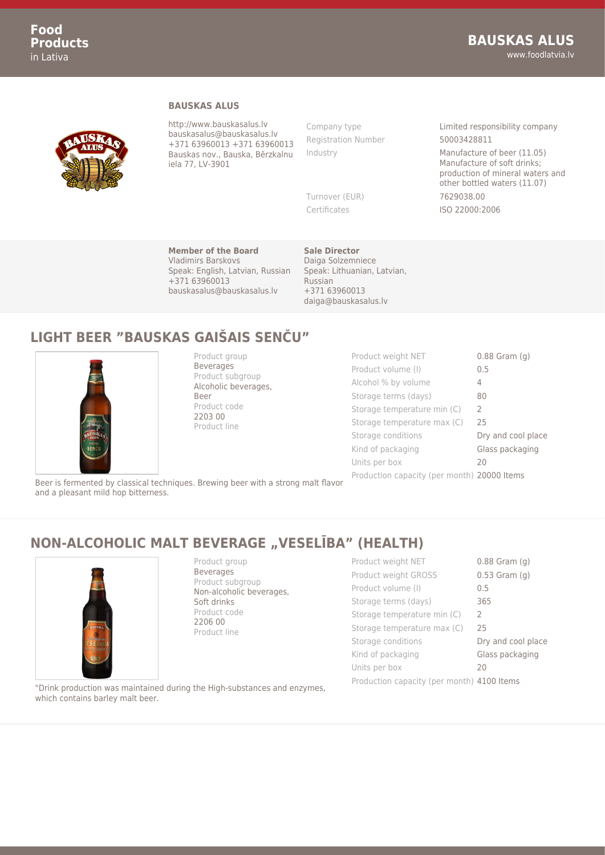

#### **BAUSKAS ALUS**

http://www.bauskasalus.lv bauskasalus@bauskasalus.lv +371 63960013 +371 63960013 Bauskas nov., Bauska, Bērzkalnu iela 77, LV-3901

Registration Number 50003428811

Company type **Limited responsibility company** 

Industry Manufacture of beer (11.05) Manufacture of soft drinks; production of mineral waters and other bottled waters (11.07) Turnover (EUR) 7629038.00 Certificates ISO 22000:2006

**Member of the Board** Vladimirs Barskovs Speak: English, Latvian, Russian +371 63960013 bauskasalus@bauskasalus.lv

**Sale Director** Daiga Solzemniece Speak: Lithuanian, Latvian, Russian +371 63960013 daiga@bauskasalus.lv

# **LIGHT BEER "BAUSKAS GAIŠAIS SENČU"**



Product group Beverages Product subgroup Alcoholic beverages, Beer Product code 2203 00 Product line

Product weight NET 0.88 Gram (g) Product volume (I) 0.5 Alcohol % by volume 4 Storage terms (days) 80 Storage temperature min (C) 2 Storage temperature max (C) 25 Storage conditions **Dry and cool place** Kind of packaging Glass packaging Units per box 20 Production capacity (per month) 20000 Items

Beer is fermented by classical techniques. Brewing beer with a strong malt flavor and a pleasant mild hop bitterness.

### **NON-ALCOHOLIC MALT BEVERAGE "VESELĪBA" (HEALTH)**



Product group Beverages Product subgroup Non-alcoholic beverages, Soft drinks Product code 2206 00 Product line

Product weight NET 0.88 Gram (g) Product weight GROSS 0.53 Gram (g) Product volume (I) 0.5 Storage terms (days) 365 Storage temperature min (C) 2 Storage temperature max (C) 25 Storage conditions **Dry and cool place** Kind of packaging **Glass packaging** Units per box 20 Production capacity (per month) 4100 Items

"Drink production was maintained during the High-substances and enzymes, which contains barley malt beer.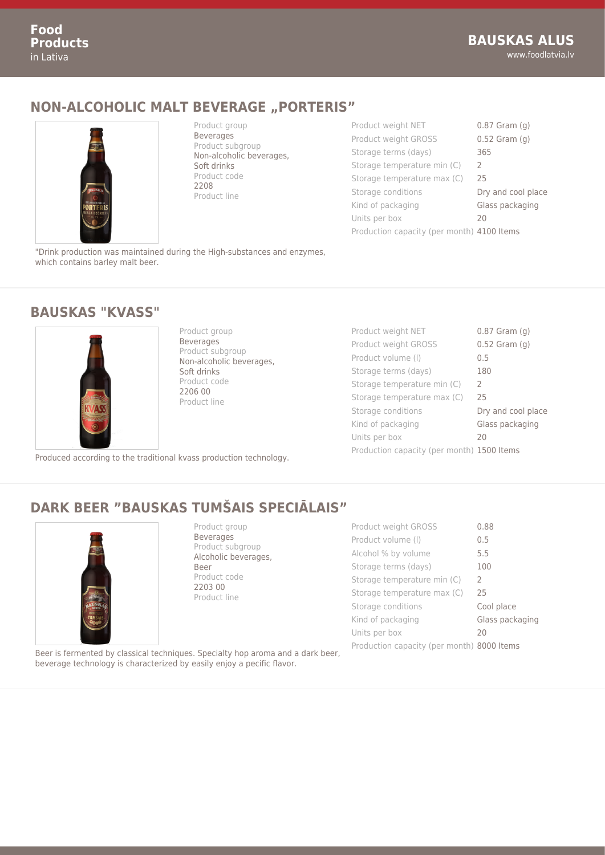### **NON-ALCOHOLIC MALT BEVERAGE "PORTERIS"**



Product group Beverages Product subgroup Non-alcoholic beverages, Soft drinks Product code 2208 Product line

| Product weight NET                         | $0.87$ Gram $(g)$  |
|--------------------------------------------|--------------------|
| Product weight GROSS                       | $0.52$ Gram $(g)$  |
| Storage terms (days)                       | 365                |
| Storage temperature min (C)                | $\mathcal{L}$      |
| Storage temperature max (C)                | 25                 |
| Storage conditions                         | Dry and cool place |
| Kind of packaging                          | Glass packaging    |
| Units per box                              | 20                 |
| Production capacity (per month) 4100 Items |                    |
|                                            |                    |

"Drink production was maintained during the High-substances and enzymes, which contains barley malt beer.

#### **BAUSKAS "KVASS"**



Product group Beverages Product subgroup Non-alcoholic beverages, Soft drinks Product code 2206 00 Product line

Produced according to the traditional kvass production technology.

| Product weight NET                         | $0.87$ Gram $(q)$  |
|--------------------------------------------|--------------------|
| Product weight GROSS                       | $0.52$ Gram $(g)$  |
| Product volume (I)                         | 0.5                |
| Storage terms (days)                       | 180                |
| Storage temperature min (C)                | $\mathcal{L}$      |
| Storage temperature max (C)                | 25                 |
| Storage conditions                         | Dry and cool place |
| Kind of packaging                          | Glass packaging    |
| Units per box                              | 20                 |
| Production capacity (per month) 1500 Items |                    |

### **DARK BEER "BAUSKAS TUMŠAIS SPECIĀLAIS"**



Product group Beverages Product subgroup Alcoholic beverages, Beer Product code 2203 00 Product line

| Product weight GROSS                       | 0.88            |
|--------------------------------------------|-----------------|
| Product volume (I)                         | 0.5             |
| Alcohol % by volume                        | 5.5             |
| Storage terms (days)                       | 100             |
| Storage temperature min (C)                | $\mathcal{L}$   |
| Storage temperature max (C)                | 25              |
| Storage conditions                         | Cool place      |
| Kind of packaging                          | Glass packaging |
| Units per box                              | 20              |
| Production capacity (per month) 8000 Items |                 |

Beer is fermented by classical techniques. Specialty hop aroma and a dark beer, beverage technology is characterized by easily enjoy a pecific flavor.